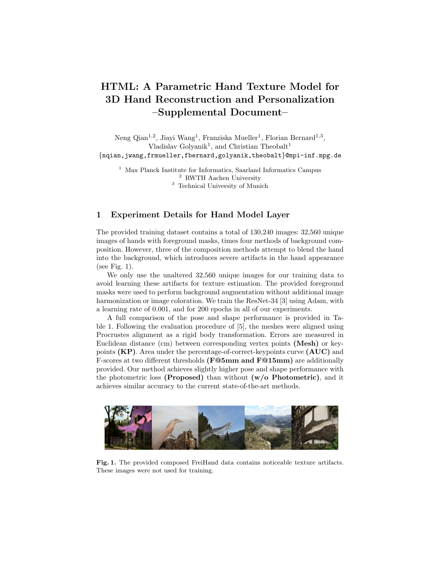# HTML: A Parametric Hand Texture Model for 3D Hand Reconstruction and Personalization –Supplemental Document–

Neng Qian<sup>1,2</sup>, Jiayi Wang<sup>1</sup>, Franziska Mueller<sup>1</sup>, Florian Bernard<sup>1,3</sup>, Vladislav Golyanik<sup>1</sup>, and Christian Theobalt<sup>1</sup> {nqian,jwang,frmueller,fbernard,golyanik,theobalt}@mpi-inf.mpg.de

 $1$  Max Planck Institute for Informatics, Saarland Informatics Campus <sup>2</sup> RWTH Aachen University <sup>3</sup> Technical University of Munich

# 1 Experiment Details for Hand Model Layer

The provided training dataset contains a total of 130,240 images: 32,560 unique images of hands with foreground masks, times four methods of background composition. However, three of the composition methods attempt to blend the hand into the background, which introduces severe artifacts in the hand appearance (see Fig. 1).

We only use the unaltered 32,560 unique images for our training data to avoid learning these artifacts for texture estimation. The provided foreground masks were used to perform background augmentation without additional image harmonization or image coloration. We train the ResNet-34 [3] using Adam, with a learning rate of 0.001, and for 200 epochs in all of our experiments.

A full comparison of the pose and shape performance is provided in Table 1. Following the evaluation procedure of [5], the meshes were aligned using Procrustes alignment as a rigid body transformation. Errors are measured in Euclidean distance (cm) between corresponding vertex points (Mesh) or keypoints  $(KP)$ . Area under the percentage-of-correct-keypoints curve  $(AUC)$  and F-scores at two different thresholds (F@5mm and F@15mm) are additionally provided. Our method achieves slightly higher pose and shape performance with the photometric loss (Proposed) than without  $(w/o)$  Photometric), and it achieves similar accuracy to the current state-of-the-art methods.



Fig. 1. The provided composed FreiHand data contains noticeable texture artifacts. These images were not used for training.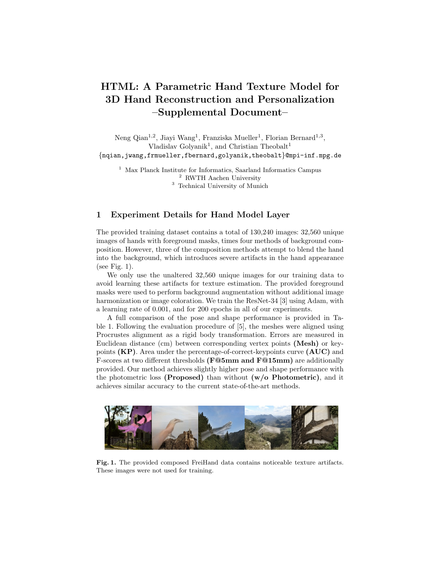2 N. Qian et al.

|                          |      |       | KP Error KP AUC Mesh Error Mesh AUC F@5mm F@15mm |       |       |       |
|--------------------------|------|-------|--------------------------------------------------|-------|-------|-------|
| Zimmerman et al. $[5]$   | 1.10 | 0.783 | 1.09                                             | 0.783 | 0.516 | 0.934 |
| Boukhayma et al. [1]     | 3.50 | 0.351 | 1.32                                             | 0.738 | 0.427 | 0.895 |
| Hasson <i>et al.</i> [2] | 1.33 | 0.737 | 1.33                                             | 0.736 | 0.429 | 0.907 |
| $w$ /o Photometric       | 1.14 | 0.774 | 1.14                                             | 0.774 | 0.499 | 0.925 |
| Proposed                 | 1.11 | 0.781 | 1.10                                             | 0.781 | 0.508 | 0.930 |

Table 1. Evaluation of our method on the FreiHand dataset [5]. All numbers are from the online leader board. Keypoint (KP) and Mesh errors are measured in cm.

### 2 Principal Components Without Shading Removal

It is desirable for the parametric texture model to not include lighting effects. Although we aimed to have uniform lighting while acquiring the scans, there are still smooth shading effects, especially at the boundary to the flat background surface. Without the shading removal step in our pipeline, the lighting effects contribute a large portion of the variation in the dataset. Hence, lighting variations are present in some of the first principal components of the PCA space. Refer to Fig. 2 and the supplementary video for visualizations.



Fig. 2. When we build the texture PCA model without shading removal, the principal components contain a significant amount of lighting variation.

# 3 Shading Removal on Original MANO Scans

The original scans from which the MANO shape and pose model [4] was built do also include vertex colors. However, they contain strong lighting effects like